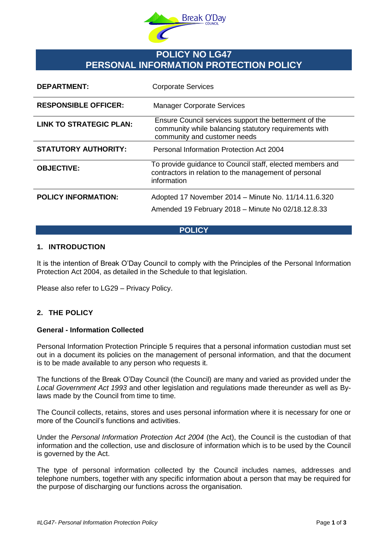

# **POLICY NO LG47 PERSONAL INFORMATION PROTECTION POLICY**

| <b>DEPARTMENT:</b>             | <b>Corporate Services</b>                                                                                                                      |
|--------------------------------|------------------------------------------------------------------------------------------------------------------------------------------------|
| <b>RESPONSIBLE OFFICER:</b>    | <b>Manager Corporate Services</b>                                                                                                              |
| <b>LINK TO STRATEGIC PLAN:</b> | Ensure Council services support the betterment of the<br>community while balancing statutory requirements with<br>community and customer needs |
| <b>STATUTORY AUTHORITY:</b>    | Personal Information Protection Act 2004                                                                                                       |
| <b>OBJECTIVE:</b>              | To provide guidance to Council staff, elected members and<br>contractors in relation to the management of personal<br>information              |
| <b>POLICY INFORMATION:</b>     | Adopted 17 November 2014 – Minute No. 11/14.11.6.320<br>Amended 19 February 2018 - Minute No 02/18.12.8.33                                     |

# **POLICY**

# **1. INTRODUCTION**

It is the intention of Break O'Day Council to comply with the Principles of the Personal Information Protection Act 2004, as detailed in the Schedule to that legislation.

Please also refer to LG29 – Privacy Policy.

# **2. THE POLICY**

#### **General - Information Collected**

Personal Information Protection Principle 5 requires that a personal information custodian must set out in a document its policies on the management of personal information, and that the document is to be made available to any person who requests it.

The functions of the Break O'Day Council (the Council) are many and varied as provided under the *Local Government Act 1993* and other legislation and regulations made thereunder as well as Bylaws made by the Council from time to time.

The Council collects, retains, stores and uses personal information where it is necessary for one or more of the Council's functions and activities.

Under the *Personal Information Protection Act 2004* (the Act), the Council is the custodian of that information and the collection, use and disclosure of information which is to be used by the Council is governed by the Act.

The type of personal information collected by the Council includes names, addresses and telephone numbers, together with any specific information about a person that may be required for the purpose of discharging our functions across the organisation.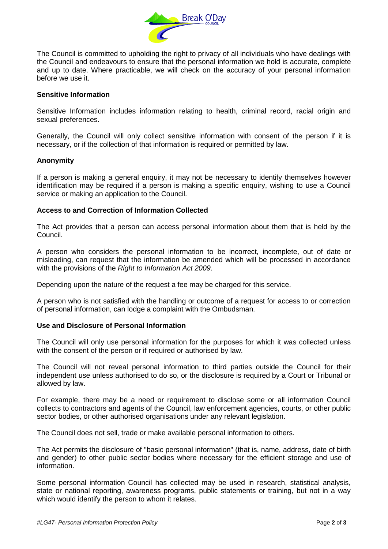

The Council is committed to upholding the right to privacy of all individuals who have dealings with the Council and endeavours to ensure that the personal information we hold is accurate, complete and up to date. Where practicable, we will check on the accuracy of your personal information before we use it.

## **Sensitive Information**

Sensitive Information includes information relating to health, criminal record, racial origin and sexual preferences.

Generally, the Council will only collect sensitive information with consent of the person if it is necessary, or if the collection of that information is required or permitted by law.

#### **Anonymity**

If a person is making a general enquiry, it may not be necessary to identify themselves however identification may be required if a person is making a specific enquiry, wishing to use a Council service or making an application to the Council.

# **Access to and Correction of Information Collected**

The Act provides that a person can access personal information about them that is held by the Council.

A person who considers the personal information to be incorrect, incomplete, out of date or misleading, can request that the information be amended which will be processed in accordance with the provisions of the *Right to Information Act 2009*.

Depending upon the nature of the request a fee may be charged for this service.

A person who is not satisfied with the handling or outcome of a request for access to or correction of personal information, can lodge a complaint with the Ombudsman.

# **Use and Disclosure of Personal Information**

The Council will only use personal information for the purposes for which it was collected unless with the consent of the person or if required or authorised by law.

The Council will not reveal personal information to third parties outside the Council for their independent use unless authorised to do so, or the disclosure is required by a Court or Tribunal or allowed by law.

For example, there may be a need or requirement to disclose some or all information Council collects to contractors and agents of the Council, law enforcement agencies, courts, or other public sector bodies, or other authorised organisations under any relevant legislation.

The Council does not sell, trade or make available personal information to others.

The Act permits the disclosure of "basic personal information" (that is, name, address, date of birth and gender) to other public sector bodies where necessary for the efficient storage and use of information.

Some personal information Council has collected may be used in research, statistical analysis, state or national reporting, awareness programs, public statements or training, but not in a way which would identify the person to whom it relates.